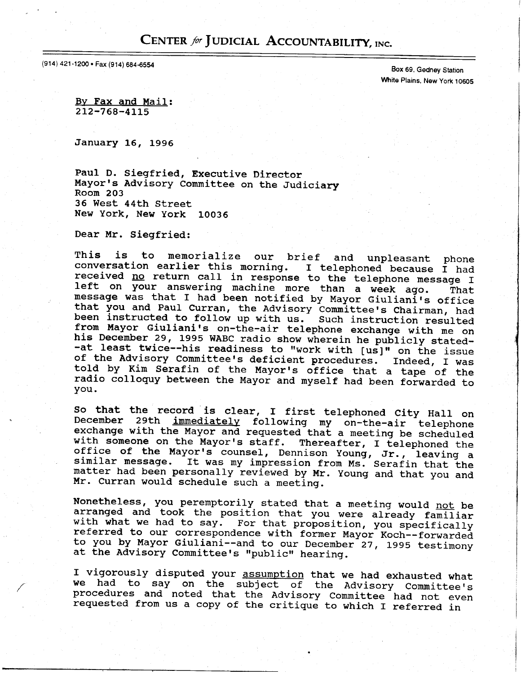## CENTER for JUDICIAL ACCOUNTABILITY, INC.

(914) 421-1200 • Fax (914) 684-6554 Box 69, Gedney Station (1914) 684-6554

White Plains, New York 10605

Bv Fax and Mail:  $212 - 768 - 4115$ 

January 16, L996

Paul D. Siegfried, Executive Director Mayor's Advisory Committee on the Judiciary Room 203 36 West 44th Street New York, New york 10036

Dear Mr. Siegfried:

This is to memorialize our brief and unpleasant phone<br>conversation earlier this morning. I telephoned because I had received no return call in response to the telephone message I left on your answering machine more than a week ago. That<br>message was that I had been notified by Mayor Giuliani's office message was that I had been notified by Mayor Giuliani's offic<br>that you and Paul Curran, the Advisory Committee's Chairman, h; been instructed to follow up with us. Such instruction resulted from Mayor Giuliani's on-the-air telephone exchange with me on<br>his December 29, 1995 WABC radio show wherein he publicly stated-<br>-at least twice--his readiness to "work with [us]" on the issue<br>of the Advisory Committee's d you.

So that the record is clear, I first telephoned City Hall on immediately following my on-the-air telephon with someone on the Mayor's staff. Thereafter, I telephoned the<br>office of the Mayor's counsel, Dennison Young, Jr., leaving a<br>similar message. It was my impression from Ms. Serafin that the matter had been personally reviewed by Mr. Young and that you and Mr. Curran would schedule such a meeting.

Nonetheless, you peremptorily stated that a meeting would not be arranged and took the position that you were already familiar with what we had to say. For that proposition, you specifically referred to our correspondence with former Mayor Koch--forwarded to you by Mayor Giuliani--and to our December<sup>-</sup>27, 1995 testimony at the Advisory Committee's "public" hearing.

I vigorously disputed your assumption that we had exhausted what<br>we had to say on the subject of the Advisory Committee's<br>procedures and noted that the Advisory Committee had not even<br>requested from us a copy of the critiq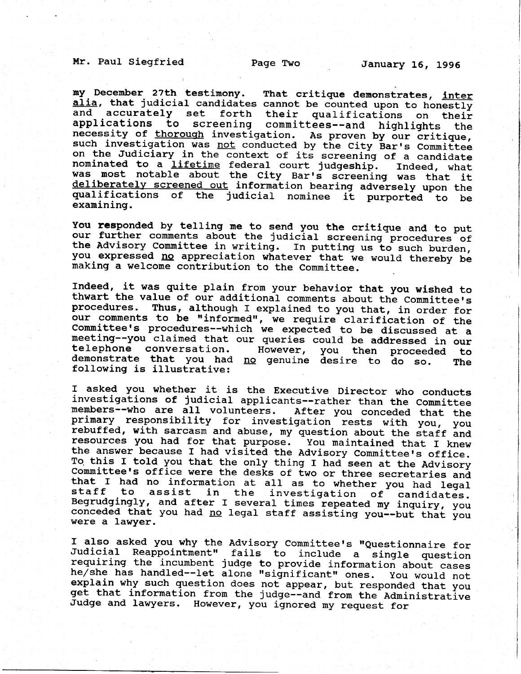Mr. Paul Siegfried Page Two January 16, 1996

my December 27th testimony. That critique demonstrates, inter alia, that judicial candidates cannot be counted upon to honestly and accurately set forth their qualifications on their and accurately set forth their qualifications on their<br>applications to screening committees--and highlights the applications to screening committees--and highlights the<br>necessity of thorough investigation. As proven by our critique<br>such investigation was not conducted by the City Bar's Committee y our such investigation was not conducted by the City Bar's Committee on the Judiciary in the context of its screening of a candidate nominated to a lifetime federal court judgeship. Indeed, what was most notable about the City Bar's screening was that it<br>deliberately screened out information bearing adversely upon the<br>qualifications of the judicial nominee it purported to be<br>examining.

You responded by telling me to send you the critique and to put our further comments about the judicial screening procedures of the Advisory Committee in writing. In putting us to such burden, you expressed no appreciation whatever that we would thereby be making a welcome contribution to the Committee.

Indeed, it was quite plain from your behavior that you wished to thwart the value of our additional comments about the Committee's procedures. Thus, although I explained to you that, in order for<br>our comments to be "informed", we require clarification of the Committee's procedures--which we expected to be discussed at a meeting--you claimed that our queries could be addressed in our telephone conversation. However, you then proceeded to demonstrate that you had no genuine desire to do so. The following is illustrative: you then proceeded to demonstrate that you had no genuine desire to do so.

I asked you whether it is the Executive Director who conducts investigations of judicial applicants--rather than the Committee members--who are all volunteers. After you conceded that the primary responsibility for investigation rests with you, you rebuffed, with sarcasm and abuse, my question about the staff and<br>resources you had for that purpose. You maintained that I knew the answer because I had visited the Advisory Committee's office.<br>To this I told you that the only thing I had seen at the Advisory<br>Committee's office were the desks of two or three secretaries and<br>that I had no informatio

I also asked you why the Advisory Committee's "Questionnaire for<br>Judicial Reappointment" fails to include a single question<br>requiring the incumbent judge to provide information about cases<br>he/she has handled--let alone "si get that information from the judge--and from the Administrative<br>Judge and lawyers. However, you ignored my request for